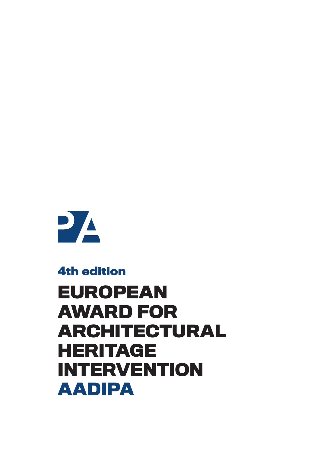

### **4th edition**

# **EUROPEAN AWARD FOR ARCHITECTURAL HERITAGE INTERVENTION AADIPA**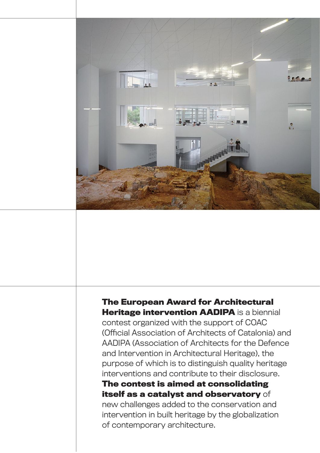

### **The European Award for Architectural Heritage intervention AADIPA** is a biennial

contest organized with the support of COAC (Official Association of Architects of Catalonia) and AADIPA (Association of Architects for the Defence and Intervention in Architectural Heritage), the purpose of which is to distinguish quality heritage interventions and contribute to their disclosure.

**The contest is aimed at consolidating itself as a catalyst and observatory** of new challenges added to the conservation and intervention in built heritage by the globalization of contemporary architecture.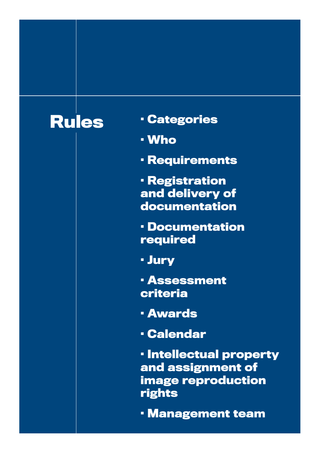- **Rules · Categories**
	- **· Who**
	- **· Requirements**
	- **· Registration and delivery of documentation**
	- **· Documentation required**
	- **· Jury**
	- **· Assessment criteria**
	- **· Awards**
	- **· Calendar**
	- **· Intellectual property and assignment of image reproduction rights**
	- **· Management team**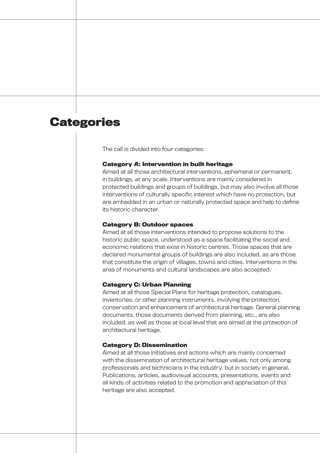### **Categories**

The call is divided into four categories:

#### **Category A: Intervention in built heritage**

Aimed at all those architectural interventions, ephemeral or permanent, in buildings, at any scale. Interventions are mainly considered in protected buildings and groups of buildings, but may also involve all those interventions of culturally specific interest which have no protection, but are embedded in an urban or naturally protected space and help to define its historic character.

#### **Category B: Outdoor spaces**

Aimed at all those interventions intended to propose solutions to the historic public space, understood as a space facilitating the social and economic relations that exist in historic centres. Those spaces that are declared monumental groups of buildings are also included, as are those that constitute the origin of villages, towns and cities. Interventions in the area of monuments and cultural landscapes are also accepted.

#### **Category C: Urban Planning**

Aimed at all those Special Plans for heritage protection, catalogues, inventories, or other planning instruments, involving the protection, conservation and enhancement of architectural heritage. General planning documents, those documents derived from planning, etc., are also included, as well as those at local level that are aimed at the protection of architectural heritage.

#### **Category D: Dissemination**

Aimed at all those initiatives and actions which are mainly concerned with the dissemination of architectural heritage values, not only among professionals and technicians in the industry, but in society in general. Publications, articles, audiovisual accounts, presentations, events and all kinds of activities related to the promotion and appreciation of this heritage are also accepted.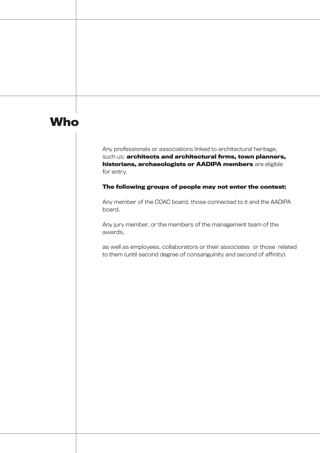### **Who**

Any professionals or associations linked to architectural heritage, such us: **architects and architectural firms, town planners, historians, archaeologists or AADIPA members** are eligible for entry.

**The following groups of people may not enter the contest:**

Any member of the COAC board, those connected to it and the AADIPA board.

Any jury member, or the members of the management team of the awards,

as well as employees, collaborators or their associates or those related to them (until second degree of consanguinity and second of affinity).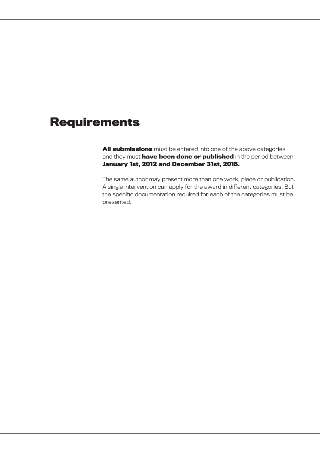## **Requirements**

**All submissions** must be entered into one of the above categories and they must **have been done or published** in the period between **January 1st, 2012 and December 31st, 2018.**

The same author may present more than one work, piece or publication. A single intervention can apply for the award in different categories. But the specific documentation required for each of the categories must be presented.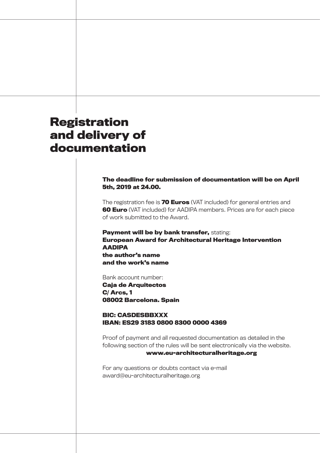### **Registration and delivery of documentation**

#### **The deadline for submission of documentation will be on April 5th, 2019 at 24.00.**

The registration fee is **70 Euros** (VAT included) for general entries and **60 Euro** (VAT included) for AADIPA members. Prices are for each piece of work submitted to the Award.

**Payment will be by bank transfer,** stating: **European Award for Architectural Heritage Intervention AADIPA the author's name and the work's name**

Bank account number:

**Caja de Arquitectos C/ Arcs, 1 08002 Barcelona. Spain**

#### **BIC: CASDESBBXXX IBAN: ES29 3183 0800 8300 0000 4369**

Proof of payment and all requested documentation as detailed in the following section of the rules will be sent electronically via the website.

#### **www.eu-architecturalheritage.org**

For any questions or doubts contact via e-mail award@eu-architecturalheritage.org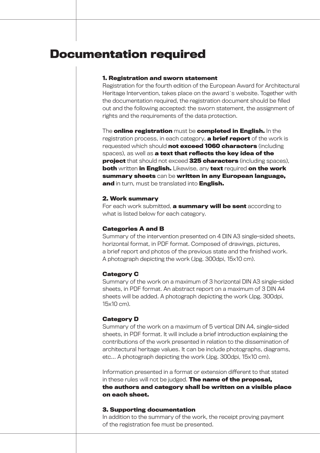### **Documentation required**

#### **1. Registration and sworn statement**

Registration for the fourth edition of the European Award for Architectural Heritage Intervention, takes place on the award´s website. Together with the documentation required, the registration document should be filled out and the following accepted: the sworn statement, the assignment of rights and the requirements of the data protection.

The **online registration** must be **completed in English.** In the registration process, in each category, **a brief report** of the work is requested which should **not exceed 1060 characters** (including spaces), as well as **a text that reflects the key idea of the project** that should not exceed **325 characters** (including spaces), **both** written **in English.** Likewise, any **text** required **on the work summary sheets** can be **written in any European language, and** in turn, must be translated into **English.**

#### **2. Work summary**

For each work submitted, **a summary will be sent** according to what is listed below for each category.

#### **Categories A and B**

Summary of the intervention presented on 4 DIN A3 single-sided sheets, horizontal format, in PDF format. Composed of drawings, pictures, a brief report and photos of the previous state and the finished work. A photograph depicting the work (Jpg. 300dpi, 15x10 cm).

#### **Category C**

Summary of the work on a maximum of 3 horizontal DIN A3 single-sided sheets, in PDF format. An abstract report on a maximum of 3 DIN A4 sheets will be added. A photograph depicting the work (Jpg. 300dpi, 15x10 cm).

#### **Category D**

Summary of the work on a maximum of 5 vertical DIN A4, single-sided sheets, in PDF format. It will include a brief introduction explaining the contributions of the work presented in relation to the dissemination of architectural heritage values. It can be include photographs, diagrams, etc… A photograph depicting the work (Jpg. 300dpi, 15x10 cm).

Information presented in a format or extension different to that stated in these rules will not be judged. **The name of the proposal, the authors and category shall be written on a visible place on each sheet.**

#### **3. Supporting documentation**

In addition to the summary of the work, the receipt proving payment of the registration fee must be presented.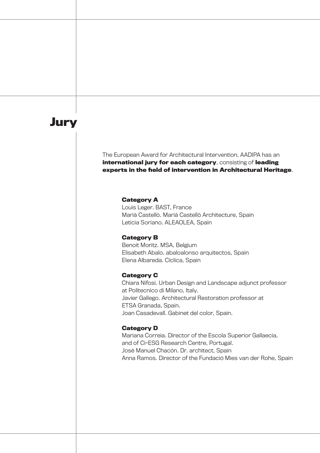### **Jury**

#### The European Award for Architectural Intervention, AADIPA has an **international jury for each category**, consisting of **leading experts in the field of intervention in Architectural Heritage**.

#### **Category A**

Louis Leger. BAST, France Marià Castellò. Marià Castellò Architecture, Spain Leticia Soriano. ALEAOLEA, Spain

#### **Category B**

Benoit Moritz. MSA, Belgium Elisabeth Abalo. abaloalonso arquitectos, Spain Elena Albareda. Cíclica, Spain

#### **Category C**

Chiara Nifosi. Urban Design and Landscape adjunct professor at Politecnico di Milano, Italy. Javier Gallego. Architectural Restoration professor at ETSA Granada, Spain. Joan Casadevall. Gabinet del color, Spain.

#### **Category D**

Mariana Correia. Director of the Escola Superior Gallaecia, and of Ci-ESG Research Centre, Portugal. José Manuel Chacón. Dr. architect, Spain Anna Ramos. Director of the Fundació Mies van der Rohe, Spain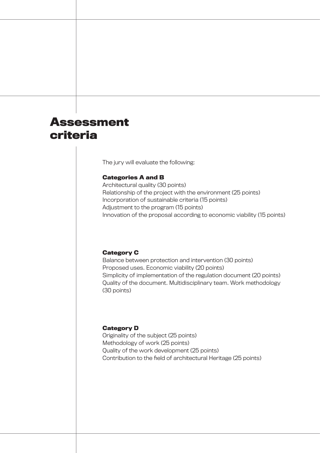### **Assessment criteria**

The jury will evaluate the following:

#### **Categories A and B**

Architectural quality (30 points) Relationship of the project with the environment (25 points) Incorporation of sustainable criteria (15 points) Adjustment to the program (15 points) Innovation of the proposal according to economic viability (15 points)

#### **Category C**

Balance between protection and intervention (30 points) Proposed uses. Economic viability (20 points) Simplicity of implementation of the regulation document (20 points) Quality of the document. Multidisciplinary team. Work methodology (30 points)

#### **Category D**

Originality of the subject (25 points) Methodology of work (25 points) Quality of the work development (25 points) Contribution to the field of architectural Heritage (25 points)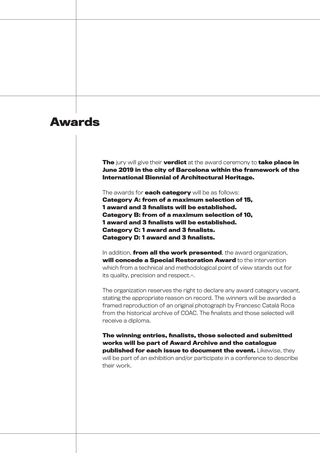### **Awards**

**The** jury will give their **verdict** at the award ceremony to **take place in June 2019 in the city of Barcelona within the framework of the International Biennial of Architectural Heritage.**

The awards for **each category** will be as follows: **Category A: from of a maximum selection of 15, 1 award and 3 finalists will be established. Category B: from of a maximum selection of 10, 1 award and 3 finalists will be established. Category C: 1 award and 3 finalists. Category D: 1 award and 3 finalists.**

In addition, **from all the work presented**, the award organization, **will concede a Special Restoration Award** to the intervention which from a technical and methodological point of view stands out for its quality, precision and respect.-.

The organization reserves the right to declare any award category vacant, stating the appropriate reason on record. The winners will be awarded a framed reproduction of an original photograph by Francesc Català Roca from the historical archive of COAC. The finalists and those selected will receive a diploma.

**The winning entries, finalists, those selected and submitted works will be part of Award Archive and the catalogue published for each issue to document the event.** Likewise, they will be part of an exhibition and/or participate in a conference to describe their work.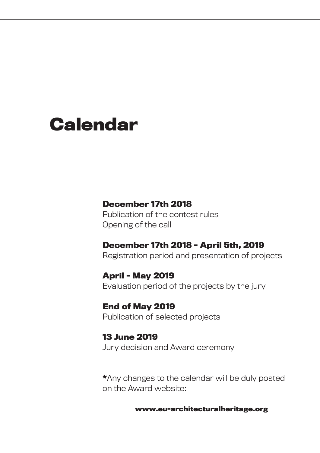# **Calendar**

### **December 17th 2018**

Publication of the contest rules Opening of the call

### **December 17th 2018 - April 5th, 2019**

Registration period and presentation of projects

**April - May 2019** Evaluation period of the projects by the jury

**End of May 2019** Publication of selected projects

**13 June 2019** Jury decision and Award ceremony

**\***Any changes to the calendar will be duly posted on the Award website:

**www.eu-architecturalheritage.org**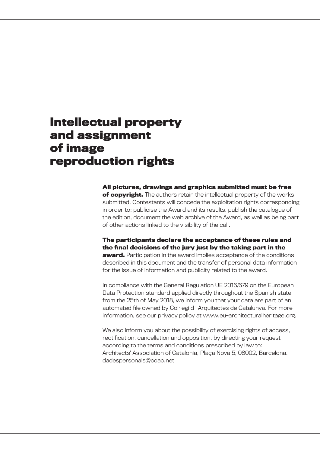### **Intellectual property and assignment of image reproduction rights**

**All pictures, drawings and graphics submitted must be free of copyright.** The authors retain the intellectual property of the works submitted. Contestants will concede the exploitation rights corresponding in order to: publicise the Award and its results, publish the catalogue of the edition, document the web archive of the Award, as well as being part of other actions linked to the visibility of the call.

**The participants declare the acceptance of these rules and the final decisions of the jury just by the taking part in the award.** Participation in the award implies acceptance of the conditions described in this document and the transfer of personal data information for the issue of information and publicity related to the award.

In compliance with the General Regulation UE 2016/679 on the European Data Protection standard applied directly throughout the Spanish state from the 25th of May 2018, we inform you that your data are part of an automated file owned by Col•legi d ' Arquitectes de Catalunya. For more information, see our privacy policy at www.eu-architecturalheritage.org.

We also inform you about the possibility of exercising rights of access, rectification, cancellation and opposition, by directing your request according to the terms and conditions prescribed by law to: Architects' Association of Catalonia, Plaça Nova 5, 08002, Barcelona. dadespersonals@coac.net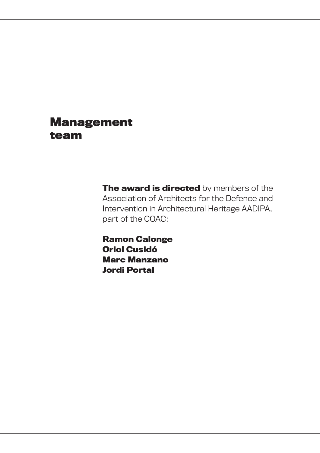### **Management team**

**The award is directed** by members of the Association of Architects for the Defence and Intervention in Architectural Heritage AADIPA, part of the COAC:

**Ramon Calonge Oriol Cusidó Marc Manzano Jordi Portal**